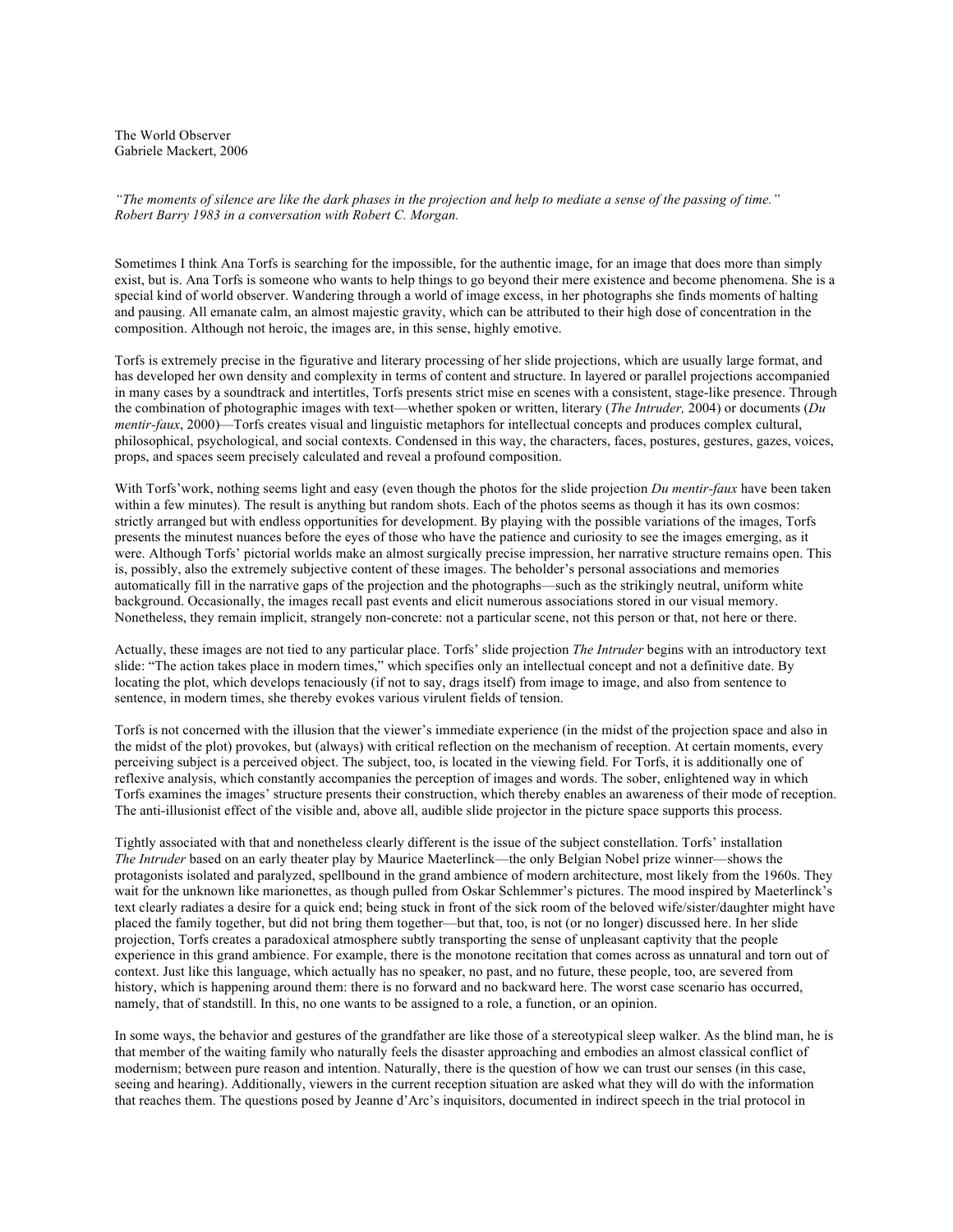The World Observer Gabriele Mackert, 2006

*"The moments of silence are like the dark phases in the projection and help to mediate a sense of the passing of time." Robert Barry 1983 in a conversation with Robert C. Morgan.* 

Sometimes I think Ana Torfs is searching for the impossible, for the authentic image, for an image that does more than simply exist, but is. Ana Torfs is someone who wants to help things to go beyond their mere existence and become phenomena. She is a special kind of world observer. Wandering through a world of image excess, in her photographs she finds moments of halting and pausing. All emanate calm, an almost majestic gravity, which can be attributed to their high dose of concentration in the composition. Although not heroic, the images are, in this sense, highly emotive.

Torfs is extremely precise in the figurative and literary processing of her slide projections, which are usually large format, and has developed her own density and complexity in terms of content and structure. In layered or parallel projections accompanied in many cases by a soundtrack and intertitles, Torfs presents strict mise en scenes with a consistent, stage-like presence. Through the combination of photographic images with text—whether spoken or written, literary (*The Intruder,* 2004) or documents (*Du mentir-faux*, 2000)—Torfs creates visual and linguistic metaphors for intellectual concepts and produces complex cultural, philosophical, psychological, and social contexts. Condensed in this way, the characters, faces, postures, gestures, gazes, voices, props, and spaces seem precisely calculated and reveal a profound composition.

With Torfs'work, nothing seems light and easy (even though the photos for the slide projection *Du mentir-faux* have been taken within a few minutes). The result is anything but random shots. Each of the photos seems as though it has its own cosmos: strictly arranged but with endless opportunities for development. By playing with the possible variations of the images, Torfs presents the minutest nuances before the eyes of those who have the patience and curiosity to see the images emerging, as it were. Although Torfs' pictorial worlds make an almost surgically precise impression, her narrative structure remains open. This is, possibly, also the extremely subjective content of these images. The beholder's personal associations and memories automatically fill in the narrative gaps of the projection and the photographs—such as the strikingly neutral, uniform white background. Occasionally, the images recall past events and elicit numerous associations stored in our visual memory. Nonetheless, they remain implicit, strangely non-concrete: not a particular scene, not this person or that, not here or there.

Actually, these images are not tied to any particular place. Torfs' slide projection *The Intruder* begins with an introductory text slide: "The action takes place in modern times," which specifies only an intellectual concept and not a definitive date. By locating the plot, which develops tenaciously (if not to say, drags itself) from image to image, and also from sentence to sentence, in modern times, she thereby evokes various virulent fields of tension.

Torfs is not concerned with the illusion that the viewer's immediate experience (in the midst of the projection space and also in the midst of the plot) provokes, but (always) with critical reflection on the mechanism of reception. At certain moments, every perceiving subject is a perceived object. The subject, too, is located in the viewing field. For Torfs, it is additionally one of reflexive analysis, which constantly accompanies the perception of images and words. The sober, enlightened way in which Torfs examines the images' structure presents their construction, which thereby enables an awareness of their mode of reception. The anti-illusionist effect of the visible and, above all, audible slide projector in the picture space supports this process.

Tightly associated with that and nonetheless clearly different is the issue of the subject constellation. Torfs' installation *The Intruder* based on an early theater play by Maurice Maeterlinck—the only Belgian Nobel prize winner—shows the protagonists isolated and paralyzed, spellbound in the grand ambience of modern architecture, most likely from the 1960s. They wait for the unknown like marionettes, as though pulled from Oskar Schlemmer's pictures. The mood inspired by Maeterlinck's text clearly radiates a desire for a quick end; being stuck in front of the sick room of the beloved wife/sister/daughter might have placed the family together, but did not bring them together—but that, too, is not (or no longer) discussed here. In her slide projection, Torfs creates a paradoxical atmosphere subtly transporting the sense of unpleasant captivity that the people experience in this grand ambience. For example, there is the monotone recitation that comes across as unnatural and torn out of context. Just like this language, which actually has no speaker, no past, and no future, these people, too, are severed from history, which is happening around them: there is no forward and no backward here. The worst case scenario has occurred, namely, that of standstill. In this, no one wants to be assigned to a role, a function, or an opinion.

In some ways, the behavior and gestures of the grandfather are like those of a stereotypical sleep walker. As the blind man, he is that member of the waiting family who naturally feels the disaster approaching and embodies an almost classical conflict of modernism; between pure reason and intention. Naturally, there is the question of how we can trust our senses (in this case, seeing and hearing). Additionally, viewers in the current reception situation are asked what they will do with the information that reaches them. The questions posed by Jeanne d'Arc's inquisitors, documented in indirect speech in the trial protocol in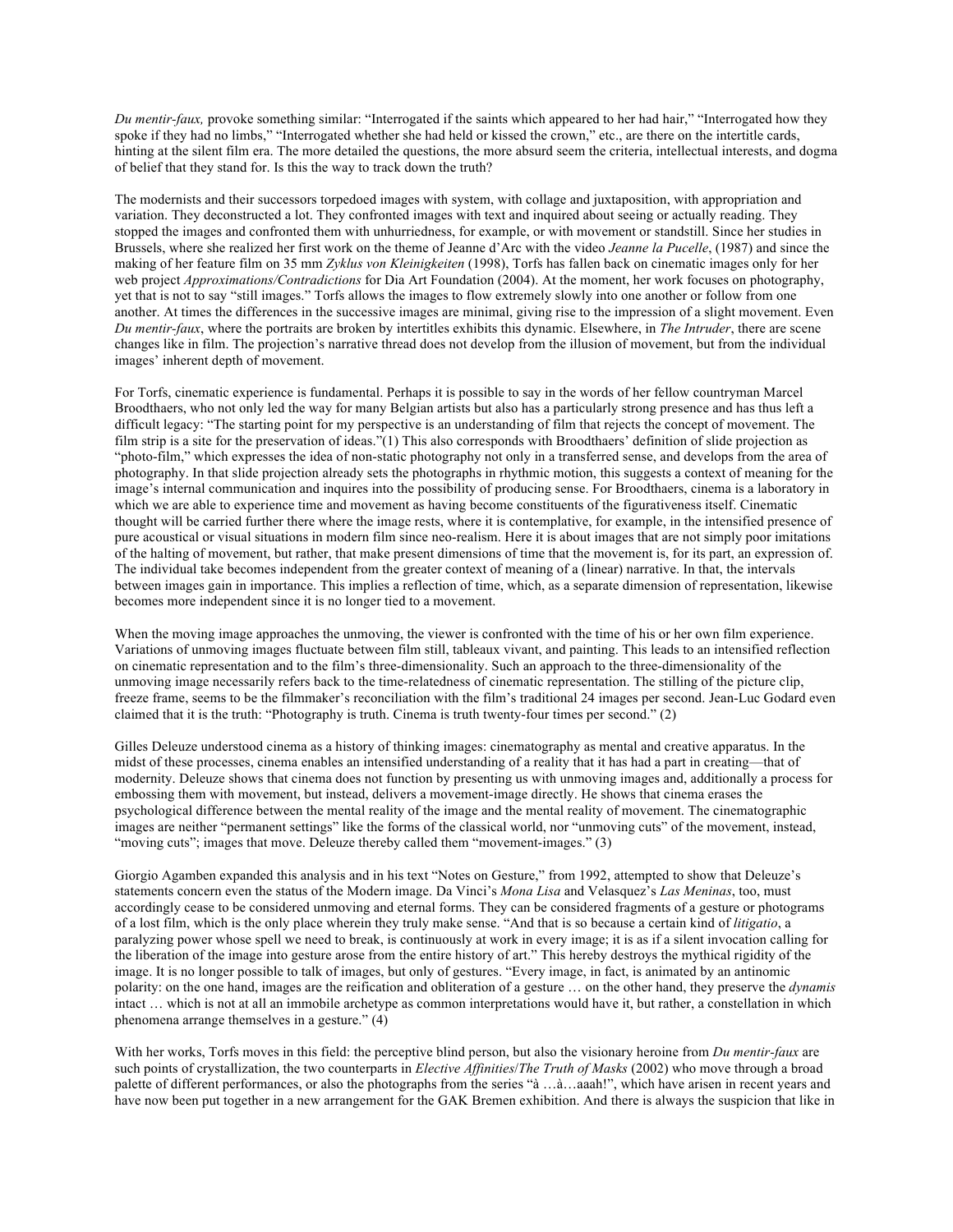*Du mentir-faux,* provoke something similar: "Interrogated if the saints which appeared to her had hair," "Interrogated how they spoke if they had no limbs," "Interrogated whether she had held or kissed the crown," etc., are there on the intertitle cards, hinting at the silent film era. The more detailed the questions, the more absurd seem the criteria, intellectual interests, and dogma of belief that they stand for. Is this the way to track down the truth?

The modernists and their successors torpedoed images with system, with collage and juxtaposition, with appropriation and variation. They deconstructed a lot. They confronted images with text and inquired about seeing or actually reading. They stopped the images and confronted them with unhurriedness, for example, or with movement or standstill. Since her studies in Brussels, where she realized her first work on the theme of Jeanne d'Arc with the video *Jeanne la Pucelle*, (1987) and since the making of her feature film on 35 mm *Zyklus von Kleinigkeiten* (1998), Torfs has fallen back on cinematic images only for her web project *Approximations/Contradictions* for Dia Art Foundation (2004). At the moment, her work focuses on photography, yet that is not to say "still images." Torfs allows the images to flow extremely slowly into one another or follow from one another. At times the differences in the successive images are minimal, giving rise to the impression of a slight movement. Even *Du mentir-faux*, where the portraits are broken by intertitles exhibits this dynamic. Elsewhere, in *The Intruder*, there are scene changes like in film. The projection's narrative thread does not develop from the illusion of movement, but from the individual images' inherent depth of movement.

For Torfs, cinematic experience is fundamental. Perhaps it is possible to say in the words of her fellow countryman Marcel Broodthaers, who not only led the way for many Belgian artists but also has a particularly strong presence and has thus left a difficult legacy: "The starting point for my perspective is an understanding of film that rejects the concept of movement. The film strip is a site for the preservation of ideas."(1) This also corresponds with Broodthaers' definition of slide projection as "photo-film," which expresses the idea of non-static photography not only in a transferred sense, and develops from the area of photography. In that slide projection already sets the photographs in rhythmic motion, this suggests a context of meaning for the image's internal communication and inquires into the possibility of producing sense. For Broodthaers, cinema is a laboratory in which we are able to experience time and movement as having become constituents of the figurativeness itself. Cinematic thought will be carried further there where the image rests, where it is contemplative, for example, in the intensified presence of pure acoustical or visual situations in modern film since neo-realism. Here it is about images that are not simply poor imitations of the halting of movement, but rather, that make present dimensions of time that the movement is, for its part, an expression of. The individual take becomes independent from the greater context of meaning of a (linear) narrative. In that, the intervals between images gain in importance. This implies a reflection of time, which, as a separate dimension of representation, likewise becomes more independent since it is no longer tied to a movement.

When the moving image approaches the unmoving, the viewer is confronted with the time of his or her own film experience. Variations of unmoving images fluctuate between film still, tableaux vivant, and painting. This leads to an intensified reflection on cinematic representation and to the film's three-dimensionality. Such an approach to the three-dimensionality of the unmoving image necessarily refers back to the time-relatedness of cinematic representation. The stilling of the picture clip, freeze frame, seems to be the filmmaker's reconciliation with the film's traditional 24 images per second. Jean-Luc Godard even claimed that it is the truth: "Photography is truth. Cinema is truth twenty-four times per second." (2)

Gilles Deleuze understood cinema as a history of thinking images: cinematography as mental and creative apparatus. In the midst of these processes, cinema enables an intensified understanding of a reality that it has had a part in creating—that of modernity. Deleuze shows that cinema does not function by presenting us with unmoving images and, additionally a process for embossing them with movement, but instead, delivers a movement-image directly. He shows that cinema erases the psychological difference between the mental reality of the image and the mental reality of movement. The cinematographic images are neither "permanent settings" like the forms of the classical world, nor "unmoving cuts" of the movement, instead, "moving cuts"; images that move. Deleuze thereby called them "movement-images." (3)

Giorgio Agamben expanded this analysis and in his text "Notes on Gesture," from 1992, attempted to show that Deleuze's statements concern even the status of the Modern image. Da Vinci's *Mona Lisa* and Velasquez's *Las Meninas*, too, must accordingly cease to be considered unmoving and eternal forms. They can be considered fragments of a gesture or photograms of a lost film, which is the only place wherein they truly make sense. "And that is so because a certain kind of *litigatio*, a paralyzing power whose spell we need to break, is continuously at work in every image; it is as if a silent invocation calling for the liberation of the image into gesture arose from the entire history of art." This hereby destroys the mythical rigidity of the image. It is no longer possible to talk of images, but only of gestures. "Every image, in fact, is animated by an antinomic polarity: on the one hand, images are the reification and obliteration of a gesture … on the other hand, they preserve the *dynamis* intact … which is not at all an immobile archetype as common interpretations would have it, but rather, a constellation in which phenomena arrange themselves in a gesture." (4)

With her works, Torfs moves in this field: the perceptive blind person, but also the visionary heroine from *Du mentir-faux* are such points of crystallization, the two counterparts in *Elective Affinities*/*The Truth of Masks* (2002) who move through a broad palette of different performances, or also the photographs from the series "à …à…aaah!", which have arisen in recent years and have now been put together in a new arrangement for the GAK Bremen exhibition. And there is always the suspicion that like in